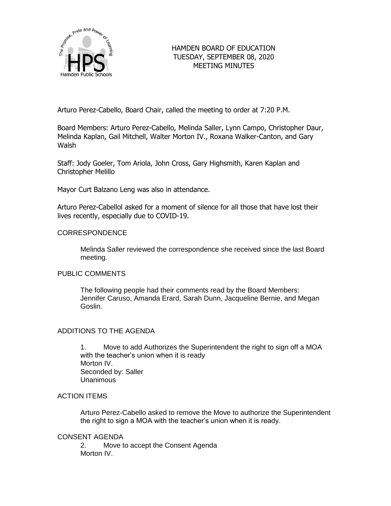

# HAMDEN BOARD OF EDUCATION TUESDAY, SEPTEMBER 08, 2020 MEETING MINUTES

Arturo Perez-Cabello, Board Chair, called the meeting to order at 7:20 P.M.

Board Members: Arturo Perez-Cabello, Melinda Saller, Lynn Campo, Christopher Daur, Melinda Kaplan, Gail Mitchell, Walter Morton IV., Roxana Walker-Canton, and Gary Walsh

Staff: Jody Goeler, Tom Ariola, John Cross, Gary Highsmith, Karen Kaplan and Christopher Melillo

Mayor Curt Balzano Leng was also in attendance.

Arturo Perez-Cabellol asked for a moment of silence for all those that have lost their lives recently, especially due to COVID-19.

## CORRESPONDENCE

Melinda Saller reviewed the correspondence she received since the last Board meeting.

## PUBLIC COMMENTS

The following people had their comments read by the Board Members: Jennifer Caruso, Amanda Erard, Sarah Dunn, Jacqueline Bernie, and Megan Goslin.

## ADDITIONS TO THE AGENDA

1. Move to add Authorizes the Superintendent the right to sign off a MOA with the teacher's union when it is ready Morton IV. Seconded by: Saller Unanimous

## ACTION ITEMS

Arturo Perez-Cabello asked to remove the Move to authorize the Superintendent the right to sign a MOA with the teacher's union when it is ready.

### CONSENT AGENDA

2. Move to accept the Consent Agenda Morton IV.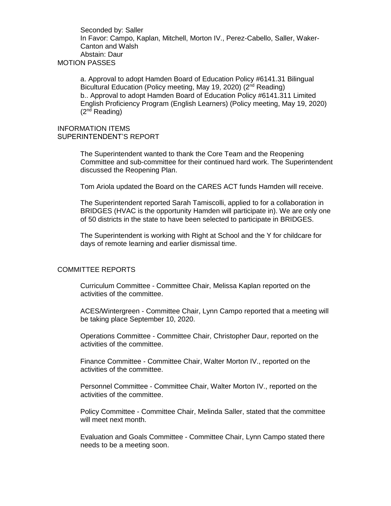Seconded by: Saller In Favor: Campo, Kaplan, Mitchell, Morton IV., Perez-Cabello, Saller, Waker-Canton and Walsh Abstain: Daur MOTION PASSES

a. Approval to adopt Hamden Board of Education Policy #6141.31 Bilingual Bicultural Education (Policy meeting, May 19, 2020) (2<sup>nd</sup> Reading) b.. Approval to adopt Hamden Board of Education Policy #6141.311 Limited English Proficiency Program (English Learners) (Policy meeting, May 19, 2020)  $(2^{nd}$  Reading)

### INFORMATION ITEMS SUPERINTENDENT'S REPORT

The Superintendent wanted to thank the Core Team and the Reopening Committee and sub-committee for their continued hard work. The Superintendent discussed the Reopening Plan.

Tom Ariola updated the Board on the CARES ACT funds Hamden will receive.

The Superintendent reported Sarah Tamiscolli, applied to for a collaboration in BRIDGES (HVAC is the opportunity Hamden will participate in). We are only one of 50 districts in the state to have been selected to participate in BRIDGES.

The Superintendent is working with Right at School and the Y for childcare for days of remote learning and earlier dismissal time.

#### COMMITTEE REPORTS

Curriculum Committee - Committee Chair, Melissa Kaplan reported on the activities of the committee.

ACES/Wintergreen - Committee Chair, Lynn Campo reported that a meeting will be taking place September 10, 2020.

Operations Committee - Committee Chair, Christopher Daur, reported on the activities of the committee.

Finance Committee - Committee Chair, Walter Morton IV., reported on the activities of the committee.

Personnel Committee - Committee Chair, Walter Morton IV., reported on the activities of the committee.

Policy Committee - Committee Chair, Melinda Saller, stated that the committee will meet next month.

Evaluation and Goals Committee - Committee Chair, Lynn Campo stated there needs to be a meeting soon.